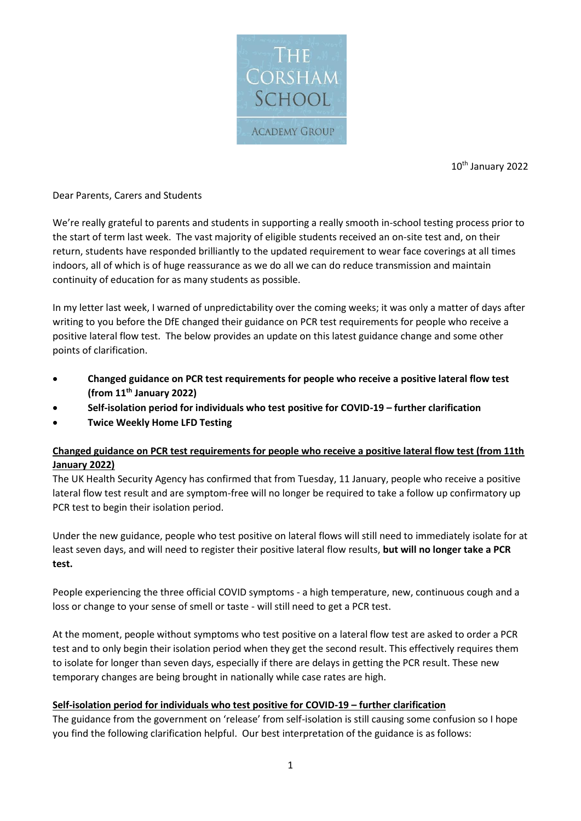

10th January 2022

## Dear Parents, Carers and Students

We're really grateful to parents and students in supporting a really smooth in-school testing process prior to the start of term last week. The vast majority of eligible students received an on-site test and, on their return, students have responded brilliantly to the updated requirement to wear face coverings at all times indoors, all of which is of huge reassurance as we do all we can do reduce transmission and maintain continuity of education for as many students as possible.

In my letter last week, I warned of unpredictability over the coming weeks; it was only a matter of days after writing to you before the DfE changed their guidance on PCR test requirements for people who receive a positive lateral flow test. The below provides an update on this latest guidance change and some other points of clarification.

- **Changed guidance on PCR test requirements for people who receive a positive lateral flow test (from 11th January 2022)**
- **Self-isolation period for individuals who test positive for COVID-19 – further clarification**
- **Twice Weekly Home LFD Testing**

## **Changed guidance on PCR test requirements for people who receive a positive lateral flow test (from 11th January 2022)**

The UK Health Security Agency has confirmed that from Tuesday, 11 January, people who receive a positive lateral flow test result and are symptom-free will no longer be required to take a follow up confirmatory up PCR test to begin their isolation period.

Under the new guidance, people who test positive on lateral flows will still need to immediately isolate for at least seven days, and will need to register their positive lateral flow results, **but will no longer take a PCR test.**

People experiencing the three official COVID symptoms - a high temperature, new, continuous cough and a loss or change to your sense of smell or taste - will still need to get a PCR test.

At the moment, people without symptoms who test positive on a lateral flow test are asked to order a PCR test and to only begin their isolation period when they get the second result. This effectively requires them to isolate for longer than seven days, especially if there are delays in getting the PCR result. These new temporary changes are being brought in nationally while case rates are high.

## **Self-isolation period for individuals who test positive for COVID-19 – further clarification**

The guidance from the government on 'release' from self-isolation is still causing some confusion so I hope you find the following clarification helpful. Our best interpretation of the guidance is as follows: